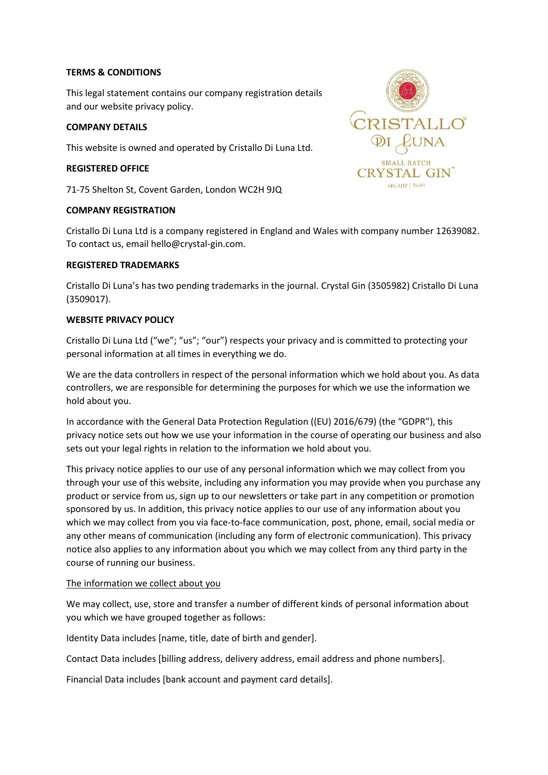## **TERMS & CONDITIONS**

This legal statement contains our company registration details and our website privacy policy.

### **COMPANY DETAILS**

This website is owned and operated by Cristallo Di Luna Ltd.

### **REGISTERED OFFICE**

71-75 Shelton St, Covent Garden, London WC2H 9JQ

### **COMPANY REGISTRATION**



Cristallo Di Luna Ltd is a company registered in England and Wales with company number 12639082. To contact us, email hello@crystal-gin.com.

### **REGISTERED TRADEMARKS**

Cristallo Di Luna's has two pending trademarks in the journal. Crystal Gin (3505982) Cristallo Di Luna (3509017).

### **WEBSITE PRIVACY POLICY**

Cristallo Di Luna Ltd ("we"; "us"; "our") respects your privacy and is committed to protecting your personal information at all times in everything we do.

We are the data controllers in respect of the personal information which we hold about you. As data controllers, we are responsible for determining the purposes for which we use the information we hold about you.

In accordance with the General Data Protection Regulation ((EU) 2016/679) (the "GDPR"), this privacy notice sets out how we use your information in the course of operating our business and also sets out your legal rights in relation to the information we hold about you.

This privacy notice applies to our use of any personal information which we may collect from you through your use of this website, including any information you may provide when you purchase any product or service from us, sign up to our newsletters or take part in any competition or promotion sponsored by us. In addition, this privacy notice applies to our use of any information about you which we may collect from you via face-to-face communication, post, phone, email, social media or any other means of communication (including any form of electronic communication). This privacy notice also applies to any information about you which we may collect from any third party in the course of running our business.

#### The information we collect about you

We may collect, use, store and transfer a number of different kinds of personal information about you which we have grouped together as follows:

Identity Data includes [name, title, date of birth and gender].

Contact Data includes [billing address, delivery address, email address and phone numbers].

Financial Data includes [bank account and payment card details].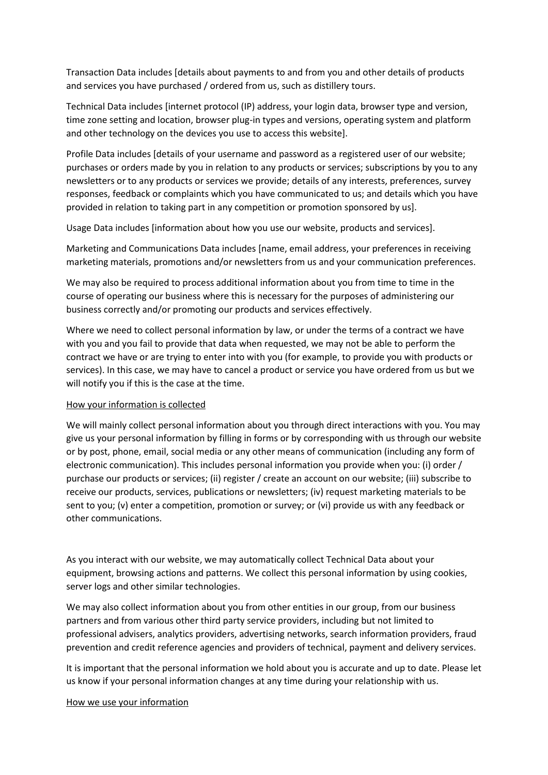Transaction Data includes [details about payments to and from you and other details of products and services you have purchased / ordered from us, such as distillery tours.

Technical Data includes [internet protocol (IP) address, your login data, browser type and version, time zone setting and location, browser plug-in types and versions, operating system and platform and other technology on the devices you use to access this website].

Profile Data includes [details of your username and password as a registered user of our website; purchases or orders made by you in relation to any products or services; subscriptions by you to any newsletters or to any products or services we provide; details of any interests, preferences, survey responses, feedback or complaints which you have communicated to us; and details which you have provided in relation to taking part in any competition or promotion sponsored by us].

Usage Data includes [information about how you use our website, products and services].

Marketing and Communications Data includes [name, email address, your preferences in receiving marketing materials, promotions and/or newsletters from us and your communication preferences.

We may also be required to process additional information about you from time to time in the course of operating our business where this is necessary for the purposes of administering our business correctly and/or promoting our products and services effectively.

Where we need to collect personal information by law, or under the terms of a contract we have with you and you fail to provide that data when requested, we may not be able to perform the contract we have or are trying to enter into with you (for example, to provide you with products or services). In this case, we may have to cancel a product or service you have ordered from us but we will notify you if this is the case at the time.

## How your information is collected

We will mainly collect personal information about you through direct interactions with you. You may give us your personal information by filling in forms or by corresponding with us through our website or by post, phone, email, social media or any other means of communication (including any form of electronic communication). This includes personal information you provide when you: (i) order / purchase our products or services; (ii) register / create an account on our website; (iii) subscribe to receive our products, services, publications or newsletters; (iv) request marketing materials to be sent to you; (v) enter a competition, promotion or survey; or (vi) provide us with any feedback or other communications.

As you interact with our website, we may automatically collect Technical Data about your equipment, browsing actions and patterns. We collect this personal information by using cookies, server logs and other similar technologies.

We may also collect information about you from other entities in our group, from our business partners and from various other third party service providers, including but not limited to professional advisers, analytics providers, advertising networks, search information providers, fraud prevention and credit reference agencies and providers of technical, payment and delivery services.

It is important that the personal information we hold about you is accurate and up to date. Please let us know if your personal information changes at any time during your relationship with us.

## How we use your information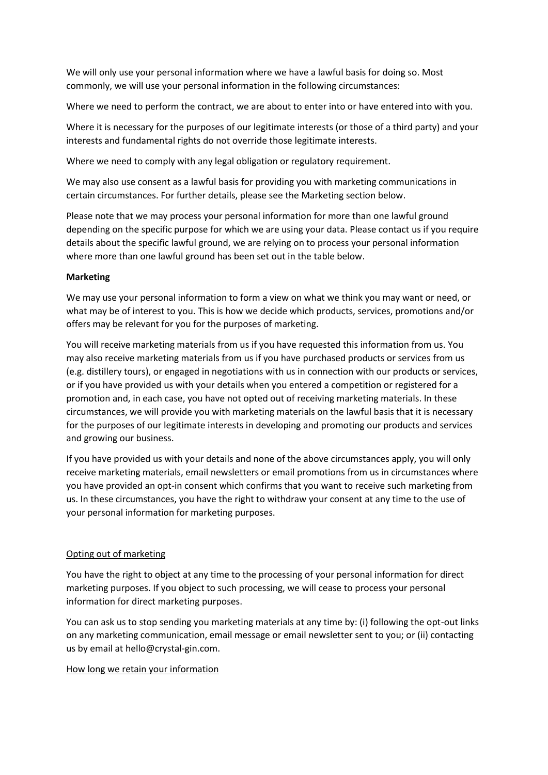We will only use your personal information where we have a lawful basis for doing so. Most commonly, we will use your personal information in the following circumstances:

Where we need to perform the contract, we are about to enter into or have entered into with you.

Where it is necessary for the purposes of our legitimate interests (or those of a third party) and your interests and fundamental rights do not override those legitimate interests.

Where we need to comply with any legal obligation or regulatory requirement.

We may also use consent as a lawful basis for providing you with marketing communications in certain circumstances. For further details, please see the Marketing section below.

Please note that we may process your personal information for more than one lawful ground depending on the specific purpose for which we are using your data. Please contact us if you require details about the specific lawful ground, we are relying on to process your personal information where more than one lawful ground has been set out in the table below.

## **Marketing**

We may use your personal information to form a view on what we think you may want or need, or what may be of interest to you. This is how we decide which products, services, promotions and/or offers may be relevant for you for the purposes of marketing.

You will receive marketing materials from us if you have requested this information from us. You may also receive marketing materials from us if you have purchased products or services from us (e.g. distillery tours), or engaged in negotiations with us in connection with our products or services, or if you have provided us with your details when you entered a competition or registered for a promotion and, in each case, you have not opted out of receiving marketing materials. In these circumstances, we will provide you with marketing materials on the lawful basis that it is necessary for the purposes of our legitimate interests in developing and promoting our products and services and growing our business.

If you have provided us with your details and none of the above circumstances apply, you will only receive marketing materials, email newsletters or email promotions from us in circumstances where you have provided an opt-in consent which confirms that you want to receive such marketing from us. In these circumstances, you have the right to withdraw your consent at any time to the use of your personal information for marketing purposes.

# Opting out of marketing

You have the right to object at any time to the processing of your personal information for direct marketing purposes. If you object to such processing, we will cease to process your personal information for direct marketing purposes.

You can ask us to stop sending you marketing materials at any time by: (i) following the opt-out links on any marketing communication, email message or email newsletter sent to you; or (ii) contacting us by email at hello@crystal-gin.com.

## How long we retain your information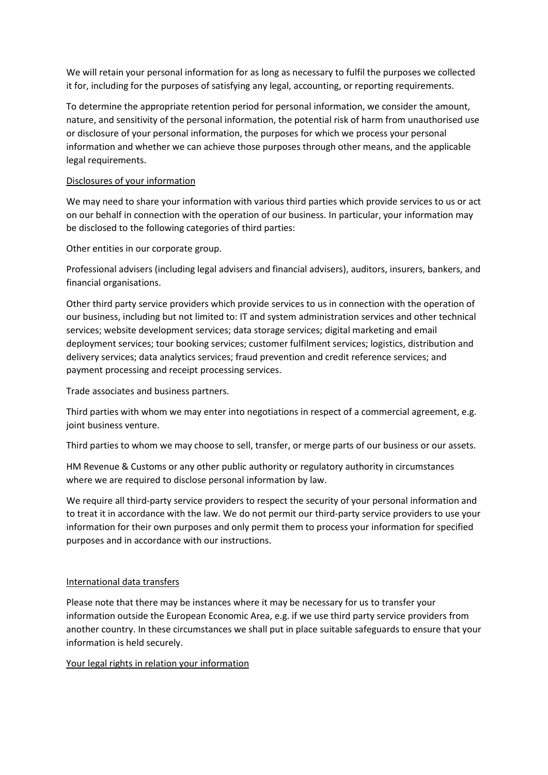We will retain your personal information for as long as necessary to fulfil the purposes we collected it for, including for the purposes of satisfying any legal, accounting, or reporting requirements.

To determine the appropriate retention period for personal information, we consider the amount, nature, and sensitivity of the personal information, the potential risk of harm from unauthorised use or disclosure of your personal information, the purposes for which we process your personal information and whether we can achieve those purposes through other means, and the applicable legal requirements.

## Disclosures of your information

We may need to share your information with various third parties which provide services to us or act on our behalf in connection with the operation of our business. In particular, your information may be disclosed to the following categories of third parties:

Other entities in our corporate group.

Professional advisers (including legal advisers and financial advisers), auditors, insurers, bankers, and financial organisations.

Other third party service providers which provide services to us in connection with the operation of our business, including but not limited to: IT and system administration services and other technical services; website development services; data storage services; digital marketing and email deployment services; tour booking services; customer fulfilment services; logistics, distribution and delivery services; data analytics services; fraud prevention and credit reference services; and payment processing and receipt processing services.

Trade associates and business partners.

Third parties with whom we may enter into negotiations in respect of a commercial agreement, e.g. joint business venture.

Third parties to whom we may choose to sell, transfer, or merge parts of our business or our assets.

HM Revenue & Customs or any other public authority or regulatory authority in circumstances where we are required to disclose personal information by law.

We require all third-party service providers to respect the security of your personal information and to treat it in accordance with the law. We do not permit our third-party service providers to use your information for their own purposes and only permit them to process your information for specified purposes and in accordance with our instructions.

## International data transfers

Please note that there may be instances where it may be necessary for us to transfer your information outside the European Economic Area, e.g. if we use third party service providers from another country. In these circumstances we shall put in place suitable safeguards to ensure that your information is held securely.

Your legal rights in relation your information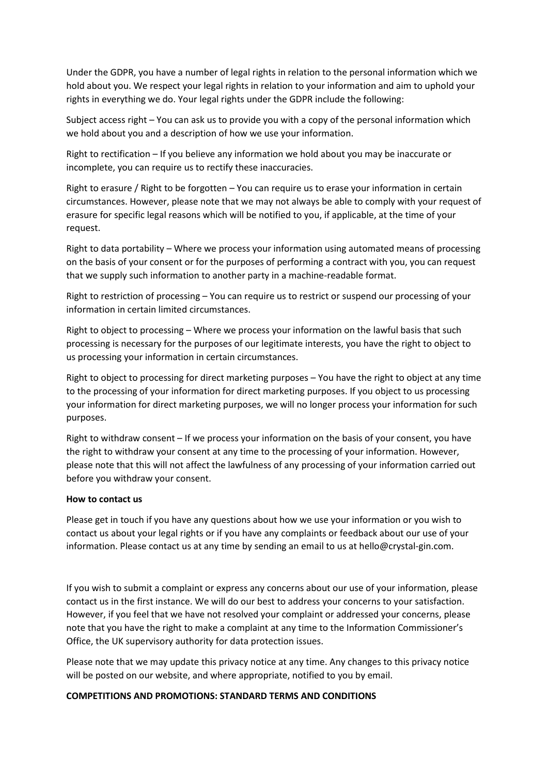Under the GDPR, you have a number of legal rights in relation to the personal information which we hold about you. We respect your legal rights in relation to your information and aim to uphold your rights in everything we do. Your legal rights under the GDPR include the following:

Subject access right – You can ask us to provide you with a copy of the personal information which we hold about you and a description of how we use your information.

Right to rectification – If you believe any information we hold about you may be inaccurate or incomplete, you can require us to rectify these inaccuracies.

Right to erasure / Right to be forgotten – You can require us to erase your information in certain circumstances. However, please note that we may not always be able to comply with your request of erasure for specific legal reasons which will be notified to you, if applicable, at the time of your request.

Right to data portability – Where we process your information using automated means of processing on the basis of your consent or for the purposes of performing a contract with you, you can request that we supply such information to another party in a machine-readable format.

Right to restriction of processing – You can require us to restrict or suspend our processing of your information in certain limited circumstances.

Right to object to processing – Where we process your information on the lawful basis that such processing is necessary for the purposes of our legitimate interests, you have the right to object to us processing your information in certain circumstances.

Right to object to processing for direct marketing purposes – You have the right to object at any time to the processing of your information for direct marketing purposes. If you object to us processing your information for direct marketing purposes, we will no longer process your information for such purposes.

Right to withdraw consent – If we process your information on the basis of your consent, you have the right to withdraw your consent at any time to the processing of your information. However, please note that this will not affect the lawfulness of any processing of your information carried out before you withdraw your consent.

## **How to contact us**

Please get in touch if you have any questions about how we use your information or you wish to contact us about your legal rights or if you have any complaints or feedback about our use of your information. Please contact us at any time by sending an email to us at hello@crystal-gin.com.

If you wish to submit a complaint or express any concerns about our use of your information, please contact us in the first instance. We will do our best to address your concerns to your satisfaction. However, if you feel that we have not resolved your complaint or addressed your concerns, please note that you have the right to make a complaint at any time to the Information Commissioner's Office, the UK supervisory authority for data protection issues.

Please note that we may update this privacy notice at any time. Any changes to this privacy notice will be posted on our website, and where appropriate, notified to you by email.

## **COMPETITIONS AND PROMOTIONS: STANDARD TERMS AND CONDITIONS**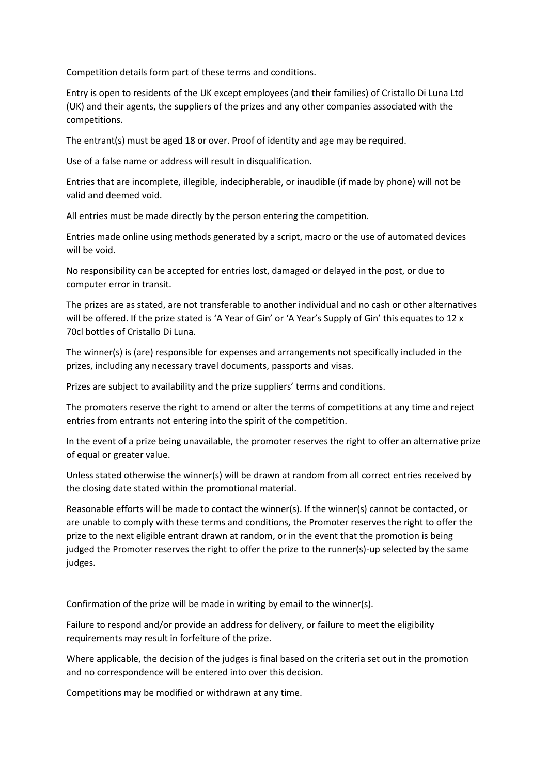Competition details form part of these terms and conditions.

Entry is open to residents of the UK except employees (and their families) of Cristallo Di Luna Ltd (UK) and their agents, the suppliers of the prizes and any other companies associated with the competitions.

The entrant(s) must be aged 18 or over. Proof of identity and age may be required.

Use of a false name or address will result in disqualification.

Entries that are incomplete, illegible, indecipherable, or inaudible (if made by phone) will not be valid and deemed void.

All entries must be made directly by the person entering the competition.

Entries made online using methods generated by a script, macro or the use of automated devices will be void.

No responsibility can be accepted for entries lost, damaged or delayed in the post, or due to computer error in transit.

The prizes are as stated, are not transferable to another individual and no cash or other alternatives will be offered. If the prize stated is 'A Year of Gin' or 'A Year's Supply of Gin' this equates to 12 x 70cl bottles of Cristallo Di Luna.

The winner(s) is (are) responsible for expenses and arrangements not specifically included in the prizes, including any necessary travel documents, passports and visas.

Prizes are subject to availability and the prize suppliers' terms and conditions.

The promoters reserve the right to amend or alter the terms of competitions at any time and reject entries from entrants not entering into the spirit of the competition.

In the event of a prize being unavailable, the promoter reserves the right to offer an alternative prize of equal or greater value.

Unless stated otherwise the winner(s) will be drawn at random from all correct entries received by the closing date stated within the promotional material.

Reasonable efforts will be made to contact the winner(s). If the winner(s) cannot be contacted, or are unable to comply with these terms and conditions, the Promoter reserves the right to offer the prize to the next eligible entrant drawn at random, or in the event that the promotion is being judged the Promoter reserves the right to offer the prize to the runner(s)-up selected by the same judges.

Confirmation of the prize will be made in writing by email to the winner(s).

Failure to respond and/or provide an address for delivery, or failure to meet the eligibility requirements may result in forfeiture of the prize.

Where applicable, the decision of the judges is final based on the criteria set out in the promotion and no correspondence will be entered into over this decision.

Competitions may be modified or withdrawn at any time.